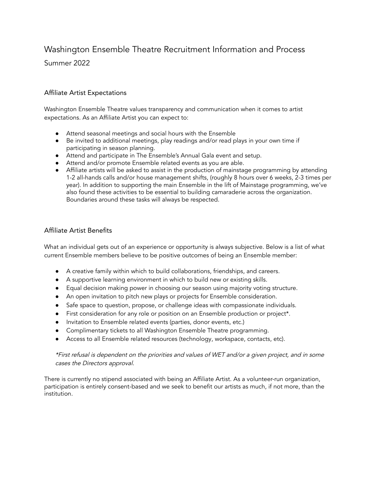# Washington Ensemble Theatre Recruitment Information and Process

Summer 2022

## Affiliate Artist Expectations

Washington Ensemble Theatre values transparency and communication when it comes to artist expectations. As an Affiliate Artist you can expect to:

- Attend seasonal meetings and social hours with the Ensemble
- Be invited to additional meetings, play readings and/or read plays in your own time if participating in season planning.
- Attend and participate in The Ensemble's Annual Gala event and setup.
- Attend and/or promote Ensemble related events as you are able.
- Affiliate artists will be asked to assist in the production of mainstage programming by attending 1-2 all-hands calls and/or house management shifts, (roughly 8 hours over 6 weeks, 2-3 times per year). In addition to supporting the main Ensemble in the lift of Mainstage programming, we've also found these activities to be essential to building camaraderie across the organization. Boundaries around these tasks will always be respected.

### Affiliate Artist Benefits

What an individual gets out of an experience or opportunity is always subjective. Below is a list of what current Ensemble members believe to be positive outcomes of being an Ensemble member:

- A creative family within which to build collaborations, friendships, and careers.
- A supportive learning environment in which to build new or existing skills.
- Equal decision making power in choosing our season using majority voting structure.
- An open invitation to pitch new plays or projects for Ensemble consideration.
- Safe space to question, propose, or challenge ideas with compassionate individuals.
- First consideration for any role or position on an Ensemble production or project\*.
- Invitation to Ensemble related events (parties, donor events, etc.)
- Complimentary tickets to all Washington Ensemble Theatre programming.
- Access to all Ensemble related resources (technology, workspace, contacts, etc).

#### \*First refusal is dependent on the priorities and values of WET and/or <sup>a</sup> <sup>g</sup>iven project, and in some cases the Directors approval.

There is currently no stipend associated with being an Affiliate Artist. As a volunteer-run organization, participation is entirely consent-based and we seek to benefit our artists as much, if not more, than the institution.